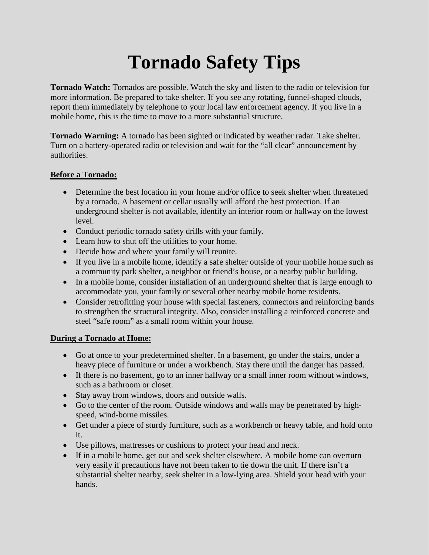# **Tornado Safety Tips**

**Tornado Watch:** Tornados are possible. Watch the sky and listen to the radio or television for more information. Be prepared to take shelter. If you see any rotating, funnel-shaped clouds, report them immediately by telephone to your local law enforcement agency. If you live in a mobile home, this is the time to move to a more substantial structure.

**Tornado Warning:** A tornado has been sighted or indicated by weather radar. Take shelter. Turn on a battery-operated radio or television and wait for the "all clear" announcement by authorities.

#### **Before a Tornado:**

- Determine the best location in your home and/or office to seek shelter when threatened by a tornado. A basement or cellar usually will afford the best protection. If an underground shelter is not available, identify an interior room or hallway on the lowest level.
- Conduct periodic tornado safety drills with your family.
- Learn how to shut off the utilities to your home.
- Decide how and where your family will reunite.
- If you live in a mobile home, identify a safe shelter outside of your mobile home such as a community park shelter, a neighbor or friend's house, or a nearby public building.
- In a mobile home, consider installation of an underground shelter that is large enough to accommodate you, your family or several other nearby mobile home residents.
- Consider retrofitting your house with special fasteners, connectors and reinforcing bands to strengthen the structural integrity. Also, consider installing a reinforced concrete and steel "safe room" as a small room within your house.

#### **During a Tornado at Home:**

- Go at once to your predetermined shelter. In a basement, go under the stairs, under a heavy piece of furniture or under a workbench. Stay there until the danger has passed.
- If there is no basement, go to an inner hallway or a small inner room without windows, such as a bathroom or closet.
- Stay away from windows, doors and outside walls.
- Go to the center of the room. Outside windows and walls may be penetrated by highspeed, wind-borne missiles.
- Get under a piece of sturdy furniture, such as a workbench or heavy table, and hold onto it.
- Use pillows, mattresses or cushions to protect your head and neck.
- If in a mobile home, get out and seek shelter elsewhere. A mobile home can overturn very easily if precautions have not been taken to tie down the unit. If there isn't a substantial shelter nearby, seek shelter in a low-lying area. Shield your head with your hands.